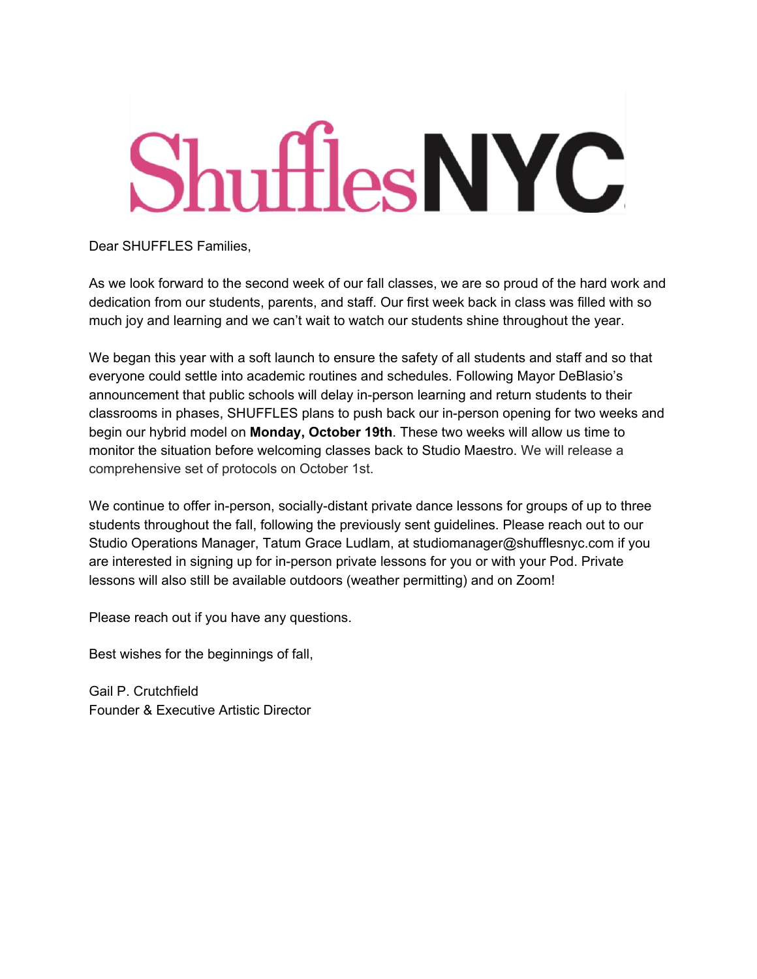# **ShufflesNYC**

Dear SHUFFLES Families,

As we look forward to the second week of our fall classes, we are so proud of the hard work and dedication from our students, parents, and staff. Our first week back in class was filled with so much joy and learning and we can't wait to watch our students shine throughout the year.

We began this year with a soft launch to ensure the safety of all students and staff and so that everyone could settle into academic routines and schedules. Following Mayor DeBlasio's announcement that public schools will delay in-person learning and return students to their classrooms in phases, SHUFFLES plans to push back our in-person opening for two weeks and begin our hybrid model on **Monday, October 19th**. These two weeks will allow us time to monitor the situation before welcoming classes back to Studio Maestro. We will release a comprehensive set of protocols on October 1st.

We continue to offer in-person, socially-distant private dance lessons for groups of up to three students throughout the fall, following the previously sent guidelines. Please reach out to our Studio Operations Manager, Tatum Grace Ludlam, at studiomanager@shufflesnyc.com if you are interested in signing up for in-person private lessons for you or with your Pod. Private lessons will also still be available outdoors (weather permitting) and on Zoom!

Please reach out if you have any questions.

Best wishes for the beginnings of fall,

Gail P. Crutchfield Founder & Executive Artistic Director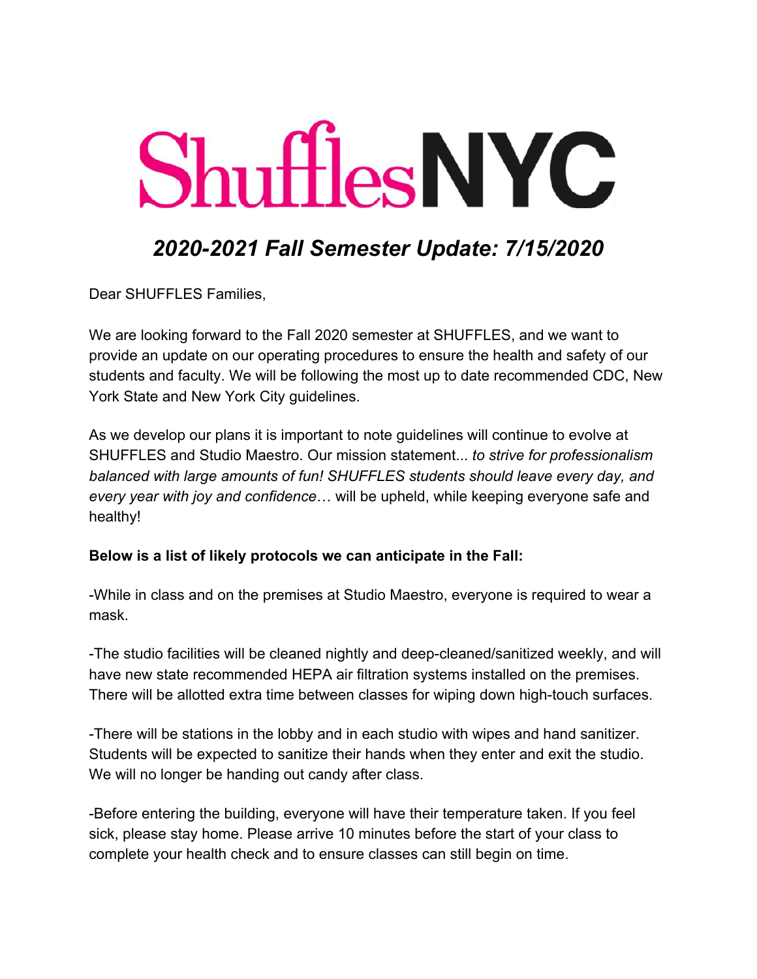# **Shuffles NYC**

### *2020-2021 Fall Semester Update: 7/15/2020*

Dear SHUFFLES Families,

We are looking forward to the Fall 2020 semester at SHUFFLES, and we want to provide an update on our operating procedures to ensure the health and safety of our students and faculty. We will be following the most up to date recommended CDC, New York State and New York City guidelines.

As we develop our plans it is important to note guidelines will continue to evolve at SHUFFLES and Studio Maestro. Our mission statement... *to strive for professionalism balanced with large amounts of fun! SHUFFLES students should leave every day, and every year with joy and confidence*… will be upheld, while keeping everyone safe and healthy!

#### **Below is a list of likely protocols we can anticipate in the Fall:**

-While in class and on the premises at Studio Maestro, everyone is required to wear a mask.

-The studio facilities will be cleaned nightly and deep-cleaned/sanitized weekly, and will have new state recommended HEPA air filtration systems installed on the premises. There will be allotted extra time between classes for wiping down high-touch surfaces.

-There will be stations in the lobby and in each studio with wipes and hand sanitizer. Students will be expected to sanitize their hands when they enter and exit the studio. We will no longer be handing out candy after class.

-Before entering the building, everyone will have their temperature taken. If you feel sick, please stay home. Please arrive 10 minutes before the start of your class to complete your health check and to ensure classes can still begin on time.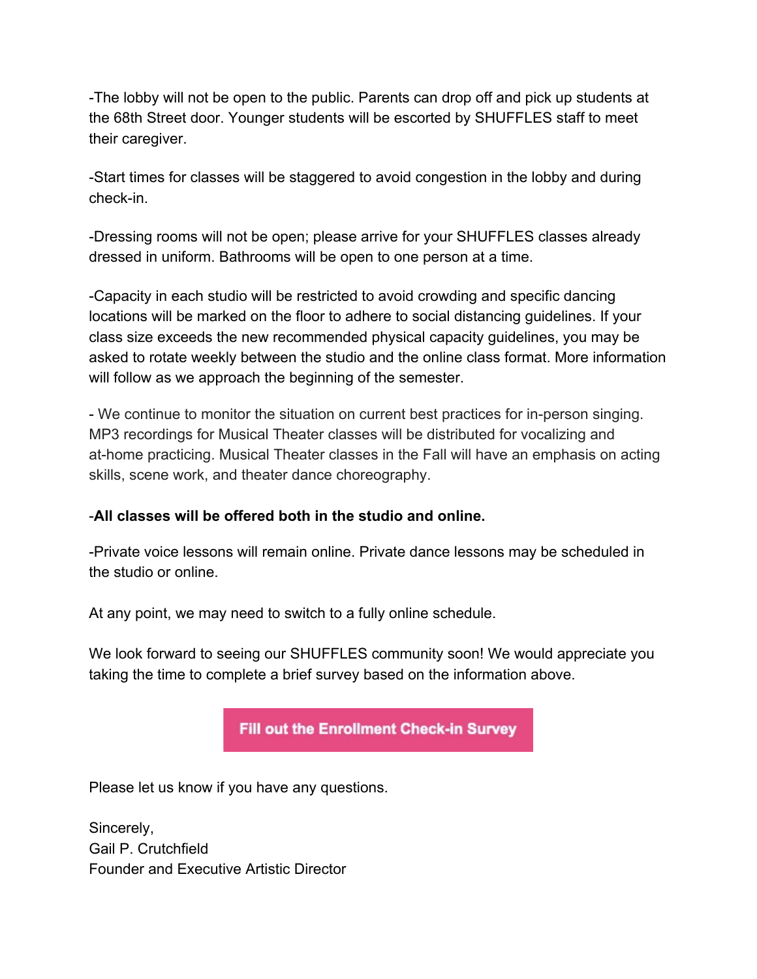-The lobby will not be open to the public. Parents can drop off and pick up students at the 68th Street door. Younger students will be escorted by SHUFFLES staff to meet their caregiver.

-Start times for classes will be staggered to avoid congestion in the lobby and during check-in.

-Dressing rooms will not be open; please arrive for your SHUFFLES classes already dressed in uniform. Bathrooms will be open to one person at a time.

-Capacity in each studio will be restricted to avoid crowding and specific dancing locations will be marked on the floor to adhere to social distancing guidelines. If your class size exceeds the new recommended physical capacity guidelines, you may be asked to rotate weekly between the studio and the online class format. More information will follow as we approach the beginning of the semester.

- We continue to monitor the situation on current best practices for in-person singing. MP3 recordings for Musical Theater classes will be distributed for vocalizing and at-home practicing. Musical Theater classes in the Fall will have an emphasis on acting skills, scene work, and theater dance choreography.

#### -**All classes will be offered both in the studio and online.**

-Private voice lessons will remain online. Private dance lessons may be scheduled in the studio or online.

At any point, we may need to switch to a fully online schedule.

We look forward to seeing our SHUFFLES community soon! We would appreciate you taking the time to complete a brief survey based on the information above.

**Fill out the Enrollment Check-in Survey** 

Please let us know if you have any questions.

Sincerely, Gail P. Crutchfield Founder and Executive Artistic Director